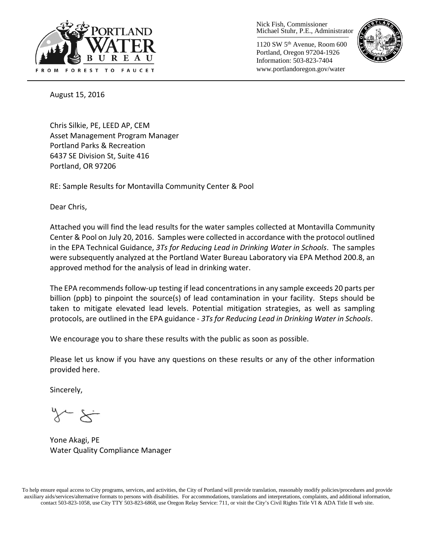

Nick Fish, Commissioner Michael Stuhr, P.E., Administrator

1120 SW 5th Avenue, Room 600 Portland, Oregon 97204-1926 Information: 503-823-7404 www.portlandoregon.gov/water



August 15, 2016

Chris Silkie, PE, LEED AP, CEM Asset Management Program Manager Portland Parks & Recreation 6437 SE Division St, Suite 416 Portland, OR 97206

RE: Sample Results for Montavilla Community Center & Pool

Dear Chris,

Attached you will find the lead results for the water samples collected at Montavilla Community Center & Pool on July 20, 2016. Samples were collected in accordance with the protocol outlined in the EPA Technical Guidance, *3Ts for Reducing Lead in Drinking Water in Schools*. The samples were subsequently analyzed at the Portland Water Bureau Laboratory via EPA Method 200.8, an approved method for the analysis of lead in drinking water.

The EPA recommends follow-up testing if lead concentrations in any sample exceeds 20 parts per billion (ppb) to pinpoint the source(s) of lead contamination in your facility. Steps should be taken to mitigate elevated lead levels. Potential mitigation strategies, as well as sampling protocols, are outlined in the EPA guidance - *3Ts for Reducing Lead in Drinking Water in Schools*.

We encourage you to share these results with the public as soon as possible.

Please let us know if you have any questions on these results or any of the other information provided here.

Sincerely,

Yone Akagi, PE Water Quality Compliance Manager

To help ensure equal access to City programs, services, and activities, the City of Portland will provide translation, reasonably modify policies/procedures and provide auxiliary aids/services/alternative formats to persons with disabilities. For accommodations, translations and interpretations, complaints, and additional information, contact 503-823-1058, use City TTY 503-823-6868, use Oregon Relay Service: 711, or visi[t the City's Civil Rights Title VI & ADA Title II web site.](http://www.portlandoregon.gov/oehr/66458)